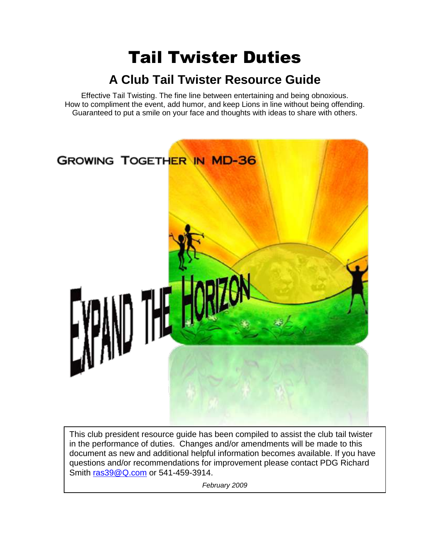# Tail Twister Duties

## **A Club Tail Twister Resource Guide**

Effective Tail Twisting. The fine line between entertaining and being obnoxious. How to compliment the event, add humor, and keep Lions in line without being offending. Guaranteed to put a smile on your face and thoughts with ideas to share with others.



This club president resource guide has been compiled to assist the club tail twister in the performance of duties. Changes and/or amendments will be made to this document as new and additional helpful information becomes available. If you have questions and/or recommendations for improvement please contact PDG Richard Smith [ras39@Q.com](mailto:ras39@Q.com) or 541-459-3914.

*February 2009*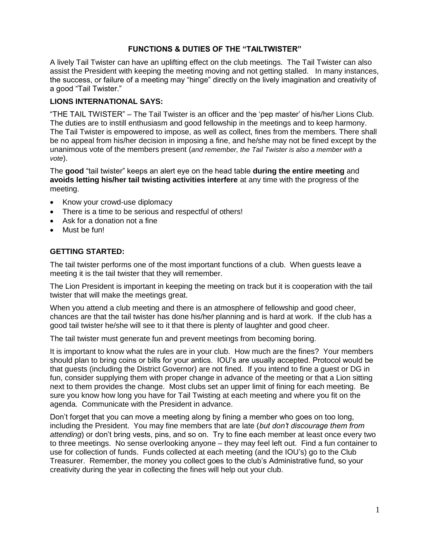#### **FUNCTIONS & DUTIES OF THE "TAILTWISTER"**

A lively Tail Twister can have an uplifting effect on the club meetings. The Tail Twister can also assist the President with keeping the meeting moving and not getting stalled. In many instances, the success, or failure of a meeting may "hinge" directly on the lively imagination and creativity of a good "Tail Twister."

#### **LIONS INTERNATIONAL SAYS:**

"THE TAIL TWISTER" – The Tail Twister is an officer and the 'pep master' of his/her Lions Club. The duties are to instill enthusiasm and good fellowship in the meetings and to keep harmony. The Tail Twister is empowered to impose, as well as collect, fines from the members. There shall be no appeal from his/her decision in imposing a fine, and he/she may not be fined except by the unanimous vote of the members present (*and remember, the Tail Twister is also a member with a vote*).

The good "tail twister" keeps an alert eye on the head table during the entire meeting and **avoids letting his/her tail twisting activities interfere** at any time with the progress of the meeting.

- Know your crowd-use diplomacy
- There is a time to be serious and respectful of others!
- Ask for a donation not a fine
- Must be fun!

#### **GETTING STARTED:**

The tail twister performs one of the most important functions of a club. When guests leave a meeting it is the tail twister that they will remember.

The Lion President is important in keeping the meeting on track but it is cooperation with the tail twister that will make the meetings great.

When you attend a club meeting and there is an atmosphere of fellowship and good cheer, chances are that the tail twister has done his/her planning and is hard at work. If the club has a good tail twister he/she will see to it that there is plenty of laughter and good cheer.

The tail twister must generate fun and prevent meetings from becoming boring.

It is important to know what the rules are in your club. How much are the fines? Your members should plan to bring coins or bills for your antics. IOU's are usually accepted. Protocol would be that guests (including the District Governor) are not fined. If you intend to fine a guest or DG in fun, consider supplying them with proper change in advance of the meeting or that a Lion sitting next to them provides the change. Most clubs set an upper limit of fining for each meeting. Be sure you know how long you have for Tail Twisting at each meeting and where you fit on the agenda. Communicate with the President in advance.

Don't forget that you can move a meeting along by fining a member who goes on too long, including the President. You may fine members that are late (*but don't discourage them from attending*) or don't bring vests, pins, and so on. Try to fine each member at least once every two to three meetings. No sense overlooking anyone – they may feel left out. Find a fun container to use for collection of funds. Funds collected at each meeting (and the IOU's) go to the Club Treasurer. Remember, the money you collect goes to the club's Administrative fund, so your creativity during the year in collecting the fines will help out your club.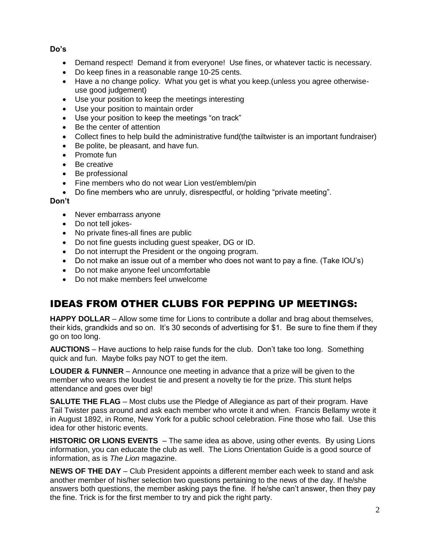**Do's**

- Demand respect! Demand it from everyone! Use fines, or whatever tactic is necessary.
- Do keep fines in a reasonable range 10-25 cents.
- Have a no change policy. What you get is what you keep.(unless you agree otherwiseuse good judgement)
- Use your position to keep the meetings interesting
- Use your position to maintain order
- Use your position to keep the meetings "on track"
- Be the center of attention
- Collect fines to help build the administrative fund(the tailtwister is an important fundraiser)
- Be polite, be pleasant, and have fun.
- Promote fun
- Be creative
- Be professional
- Fine members who do not wear Lion vest/emblem/pin
- Do fine members who are unruly, disrespectful, or holding "private meeting".

#### **Don't**

- Never embarrass anyone
- Do not tell jokes-
- No private fines-all fines are public
- Do not fine guests including guest speaker, DG or ID.
- Do not interrupt the President or the ongoing program.
- Do not make an issue out of a member who does not want to pay a fine. (Take IOU's)
- Do not make anyone feel uncomfortable
- Do not make members feel unwelcome

### IDEAS FROM OTHER CLUBS FOR PEPPING UP MEETINGS:

**HAPPY DOLLAR** – Allow some time for Lions to contribute a dollar and brag about themselves, their kids, grandkids and so on. It's 30 seconds of advertising for \$1. Be sure to fine them if they go on too long.

**AUCTIONS** – Have auctions to help raise funds for the club. Don't take too long. Something quick and fun. Maybe folks pay NOT to get the item.

**LOUDER & FUNNER** – Announce one meeting in advance that a prize will be given to the member who wears the loudest tie and present a novelty tie for the prize. This stunt helps attendance and goes over big!

**SALUTE THE FLAG** – Most clubs use the Pledge of Allegiance as part of their program. Have Tail Twister pass around and ask each member who wrote it and when. Francis Bellamy wrote it in August 1892, in Rome, New York for a public school celebration. Fine those who fail. Use this idea for other historic events.

**HISTORIC OR LIONS EVENTS** – The same idea as above, using other events. By using Lions information, you can educate the club as well. The Lions Orientation Guide is a good source of information, as is *The Lion* magazine.

**NEWS OF THE DAY** – Club President appoints a different member each week to stand and ask another member of his/her selection two questions pertaining to the news of the day. If he/she answers both questions, the member asking pays the fine. If he/she can't answer, then they pay the fine. Trick is for the first member to try and pick the right party.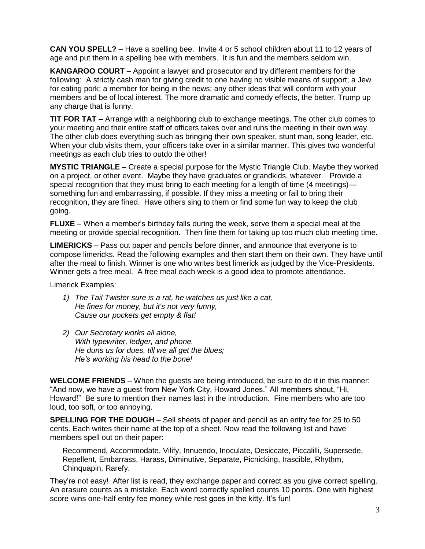**CAN YOU SPELL?** – Have a spelling bee. Invite 4 or 5 school children about 11 to 12 years of age and put them in a spelling bee with members. It is fun and the members seldom win.

**KANGAROO COURT** – Appoint a lawyer and prosecutor and try different members for the following: A strictly cash man for giving credit to one having no visible means of support; a Jew for eating pork; a member for being in the news; any other ideas that will conform with your members and be of local interest. The more dramatic and comedy effects, the better. Trump up any charge that is funny.

**TIT FOR TAT** – Arrange with a neighboring club to exchange meetings. The other club comes to your meeting and their entire staff of officers takes over and runs the meeting in their own way. The other club does everything such as bringing their own speaker, stunt man, song leader, etc. When your club visits them, your officers take over in a similar manner. This gives two wonderful meetings as each club tries to outdo the other!

**MYSTIC TRIANGLE** – Create a special purpose for the Mystic Triangle Club. Maybe they worked on a project, or other event. Maybe they have graduates or grandkids, whatever. Provide a special recognition that they must bring to each meeting for a length of time (4 meetings) something fun and embarrassing, if possible. If they miss a meeting or fail to bring their recognition, they are fined. Have others sing to them or find some fun way to keep the club going.

**FLUXE** – When a member's birthday falls during the week, serve them a special meal at the meeting or provide special recognition. Then fine them for taking up too much club meeting time.

**LIMERICKS** – Pass out paper and pencils before dinner, and announce that everyone is to compose limericks. Read the following examples and then start them on their own. They have until after the meal to finish. Winner is one who writes best limerick as judged by the Vice-Presidents. Winner gets a free meal. A free meal each week is a good idea to promote attendance.

Limerick Examples:

- *1) The Tail Twister sure is a rat, he watches us just like a cat, He fines for money, but it's not very funny, Cause our pockets get empty & flat!*
- *2) Our Secretary works all alone, With typewriter, ledger, and phone. He duns us for dues, till we all get the blues; He's working his head to the bone!*

**WELCOME FRIENDS** – When the guests are being introduced, be sure to do it in this manner: "And now, we have a quest from New York City, Howard Jones." All members shout, "Hi, Howard!‖ Be sure to mention their names last in the introduction. Fine members who are too loud, too soft, or too annoying.

**SPELLING FOR THE DOUGH** – Sell sheets of paper and pencil as an entry fee for 25 to 50 cents. Each writes their name at the top of a sheet. Now read the following list and have members spell out on their paper:

Recommend, Accommodate, Vilify, Innuendo, Inoculate, Desiccate, Piccalilli, Supersede, Repellent, Embarrass, Harass, Diminutive, Separate, Picnicking, Irascible, Rhythm, Chinquapin, Rarefy.

They're not easy! After list is read, they exchange paper and correct as you give correct spelling. An erasure counts as a mistake. Each word correctly spelled counts 10 points. One with highest score wins one-half entry fee money while rest goes in the kitty. It's fun!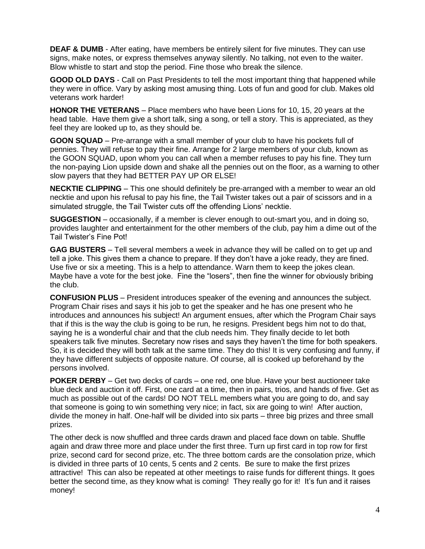**DEAF & DUMB** - After eating, have members be entirely silent for five minutes. They can use signs, make notes, or express themselves anyway silently. No talking, not even to the waiter. Blow whistle to start and stop the period. Fine those who break the silence.

**GOOD OLD DAYS** - Call on Past Presidents to tell the most important thing that happened while they were in office. Vary by asking most amusing thing. Lots of fun and good for club. Makes old veterans work harder!

**HONOR THE VETERANS** – Place members who have been Lions for 10, 15, 20 years at the head table. Have them give a short talk, sing a song, or tell a story. This is appreciated, as they feel they are looked up to, as they should be.

**GOON SQUAD** – Pre-arrange with a small member of your club to have his pockets full of pennies. They will refuse to pay their fine. Arrange for 2 large members of your club, known as the GOON SQUAD, upon whom you can call when a member refuses to pay his fine. They turn the non-paying Lion upside down and shake all the pennies out on the floor, as a warning to other slow payers that they had BETTER PAY UP OR ELSE!

**NECKTIE CLIPPING** – This one should definitely be pre-arranged with a member to wear an old necktie and upon his refusal to pay his fine, the Tail Twister takes out a pair of scissors and in a simulated struggle, the Tail Twister cuts off the offending Lions' necktie.

**SUGGESTION** – occasionally, if a member is clever enough to out-smart you, and in doing so, provides laughter and entertainment for the other members of the club, pay him a dime out of the Tail Twister's Fine Pot!

**GAG BUSTERS** – Tell several members a week in advance they will be called on to get up and tell a joke. This gives them a chance to prepare. If they don't have a joke ready, they are fined. Use five or six a meeting. This is a help to attendance. Warn them to keep the jokes clean. Maybe have a vote for the best joke. Fine the "losers", then fine the winner for obviously bribing the club.

**CONFUSION PLUS** – President introduces speaker of the evening and announces the subject. Program Chair rises and says it his job to get the speaker and he has one present who he introduces and announces his subject! An argument ensues, after which the Program Chair says that if this is the way the club is going to be run, he resigns. President begs him not to do that, saying he is a wonderful chair and that the club needs him. They finally decide to let both speakers talk five minutes. Secretary now rises and says they haven't the time for both speakers. So, it is decided they will both talk at the same time. They do this! It is very confusing and funny, if they have different subjects of opposite nature. Of course, all is cooked up beforehand by the persons involved.

**POKER DERBY** – Get two decks of cards – one red, one blue. Have your best auctioneer take blue deck and auction it off. First, one card at a time, then in pairs, trios, and hands of five. Get as much as possible out of the cards! DO NOT TELL members what you are going to do, and say that someone is going to win something very nice; in fact, six are going to win! After auction, divide the money in half. One-half will be divided into six parts – three big prizes and three small prizes.

The other deck is now shuffled and three cards drawn and placed face down on table. Shuffle again and draw three more and place under the first three. Turn up first card in top row for first prize, second card for second prize, etc. The three bottom cards are the consolation prize, which is divided in three parts of 10 cents, 5 cents and 2 cents. Be sure to make the first prizes attractive! This can also be repeated at other meetings to raise funds for different things. It goes better the second time, as they know what is coming! They really go for it! It's fun and it raises money!